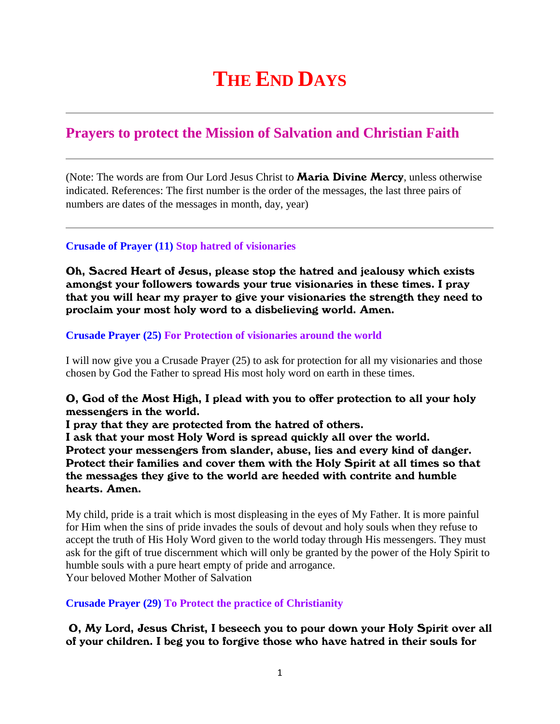# **THE END DAYS**

# **Prayers to protect the Mission of Salvation and Christian Faith**

(Note: The words are from Our Lord Jesus Christ to **Maria Divine Mercy**, unless otherwise indicated. References: The first number is the order of the messages, the last three pairs of numbers are dates of the messages in month, day, year)

# **Crusade of Prayer (11) Stop hatred of visionaries**

Oh, Sacred Heart of Jesus, please stop the hatred and jealousy which exists amongst your followers towards your true visionaries in these times. I pray that you will hear my prayer to give your visionaries the strength they need to proclaim your most holy word to a disbelieving world. Amen.

### **Crusade Prayer (25) For Protection of visionaries around the world**

I will now give you a Crusade Prayer (25) to ask for protection for all my visionaries and those chosen by God the Father to spread His most holy word on earth in these times.

# O, God of the Most High, I plead with you to offer protection to all your holy messengers in the world.

I pray that they are protected from the hatred of others.

I ask that your most Holy Word is spread quickly all over the world. Protect your messengers from slander, abuse, lies and every kind of danger. Protect their families and cover them with the Holy Spirit at all times so that the messages they give to the world are heeded with contrite and humble hearts. Amen.

My child, pride is a trait which is most displeasing in the eyes of My Father. It is more painful for Him when the sins of pride invades the souls of devout and holy souls when they refuse to accept the truth of His Holy Word given to the world today through His messengers. They must ask for the gift of true discernment which will only be granted by the power of the Holy Spirit to humble souls with a pure heart empty of pride and arrogance. Your beloved Mother Mother of Salvation

## **Crusade Prayer (29) To Protect the practice of Christianity**

O, My Lord, Jesus Christ, I beseech you to pour down your Holy Spirit over all of your children. I beg you to forgive those who have hatred in their souls for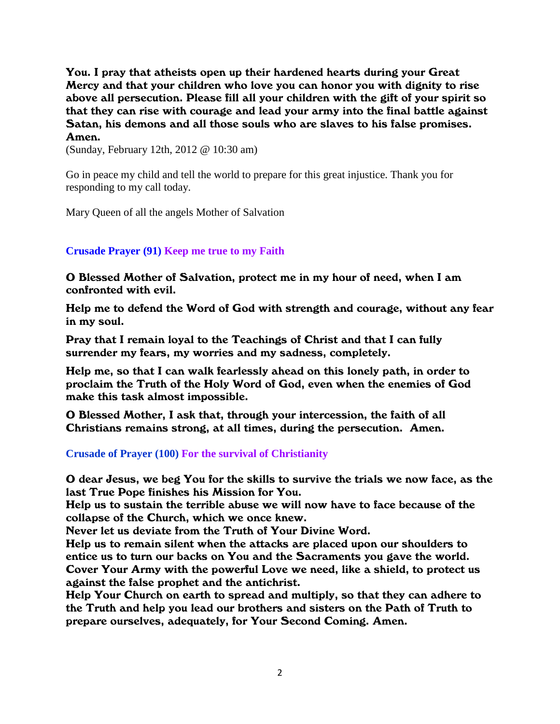You. I pray that atheists open up their hardened hearts during your Great Mercy and that your children who love you can honor you with dignity to rise above all persecution. Please fill all your children with the gift of your spirit so that they can rise with courage and lead your army into the final battle against Satan, his demons and all those souls who are slaves to his false promises. Amen.

(Sunday, February 12th, 2012 @ 10:30 am)

Go in peace my child and tell the world to prepare for this great injustice. Thank you for responding to my call today.

Mary Queen of all the angels Mother of Salvation

### **Crusade Prayer (91) Keep me true to my Faith**

O Blessed Mother of Salvation, protect me in my hour of need, when I am confronted with evil.

Help me to defend the Word of God with strength and courage, without any fear in my soul.

Pray that I remain loyal to the Teachings of Christ and that I can fully surrender my fears, my worries and my sadness, completely.

Help me, so that I can walk fearlessly ahead on this lonely path, in order to proclaim the Truth of the Holy Word of God, even when the enemies of God make this task almost impossible.

O Blessed Mother, I ask that, through your intercession, the faith of all Christians remains strong, at all times, during the persecution. Amen.

#### **Crusade of Prayer (100) For the survival of Christianity**

O dear Jesus, we beg You for the skills to survive the trials we now face, as the last True Pope finishes his Mission for You.

Help us to sustain the terrible abuse we will now have to face because of the collapse of the Church, which we once knew.

Never let us deviate from the Truth of Your Divine Word.

Help us to remain silent when the attacks are placed upon our shoulders to entice us to turn our backs on You and the Sacraments you gave the world. Cover Your Army with the powerful Love we need, like a shield, to protect us against the false prophet and the antichrist.

Help Your Church on earth to spread and multiply, so that they can adhere to the Truth and help you lead our brothers and sisters on the Path of Truth to prepare ourselves, adequately, for Your Second Coming. Amen.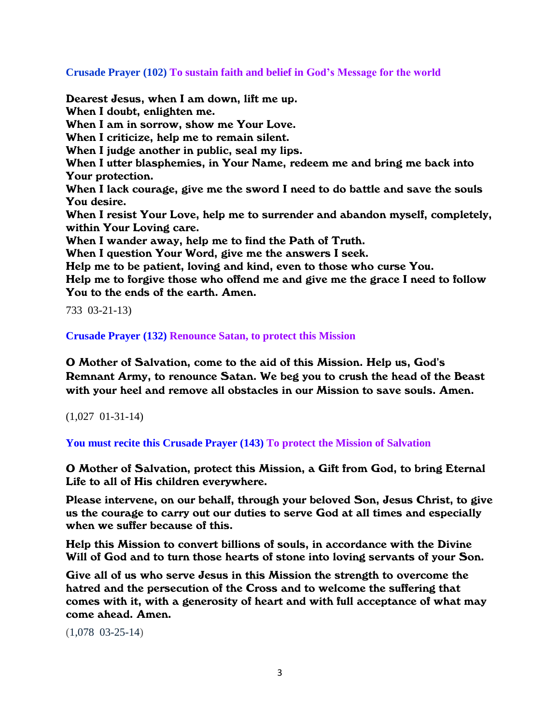**Crusade Prayer (102) To sustain faith and belief in God's Message for the world**

Dearest Jesus, when I am down, lift me up. When I doubt, enlighten me. When I am in sorrow, show me Your Love. When I criticize, help me to remain silent. When I judge another in public, seal my lips. When I utter blasphemies, in Your Name, redeem me and bring me back into Your protection. When I lack courage, give me the sword I need to do battle and save the souls You desire. When I resist Your Love, help me to surrender and abandon myself, completely, within Your Loving care. When I wander away, help me to find the Path of Truth. When I question Your Word, give me the answers I seek. Help me to be patient, loving and kind, even to those who curse You. Help me to forgive those who offend me and give me the grace I need to follow You to the ends of the earth. Amen.

733 03-21-13)

**Crusade Prayer (132) Renounce Satan, to protect this Mission**

O Mother of Salvation, come to the aid of this Mission. Help us, God's Remnant Army, to renounce Satan. We beg you to crush the head of the Beast with your heel and remove all obstacles in our Mission to save souls. Amen.

(1,027 01-31-14)

**You must recite this Crusade Prayer (143) To protect the Mission of Salvation**

O Mother of Salvation, protect this Mission, a Gift from God, to bring Eternal Life to all of His children everywhere.

Please intervene, on our behalf, through your beloved Son, Jesus Christ, to give us the courage to carry out our duties to serve God at all times and especially when we suffer because of this.

Help this Mission to convert billions of souls, in accordance with the Divine Will of God and to turn those hearts of stone into loving servants of your Son.

Give all of us who serve Jesus in this Mission the strength to overcome the hatred and the persecution of the Cross and to welcome the suffering that comes with it, with a generosity of heart and with full acceptance of what may come ahead. Amen.

(1,078 03-25-14)